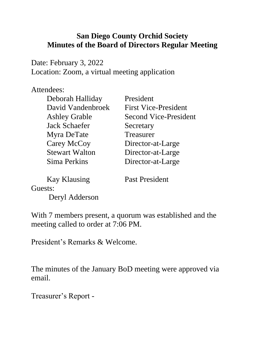#### **San Diego County Orchid Society Minutes of the Board of Directors Regular Meeting**

Date: February 3, 2022 Location: Zoom, a virtual meeting application

#### Attendees:

| Deborah Halliday      | President                    |
|-----------------------|------------------------------|
| David Vandenbroek     | <b>First Vice-President</b>  |
| <b>Ashley Grable</b>  | <b>Second Vice-President</b> |
| <b>Jack Schaefer</b>  | Secretary                    |
| Myra DeTate           | Treasurer                    |
| Carey McCoy           | Director-at-Large            |
| <b>Stewart Walton</b> | Director-at-Large            |
| Sima Perkins          | Director-at-Large            |
|                       |                              |

Kay Klausing Past President

Guests:

Deryl Adderson

With 7 members present, a quorum was established and the meeting called to order at 7:06 PM.

President's Remarks & Welcome.

The minutes of the January BoD meeting were approved via email.

Treasurer's Report -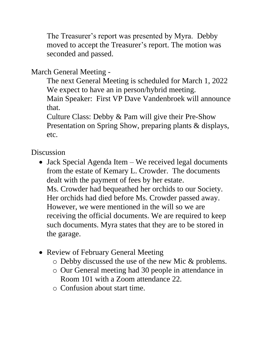The Treasurer's report was presented by Myra. Debby moved to accept the Treasurer's report. The motion was seconded and passed.

# March General Meeting -

The next General Meeting is scheduled for March 1, 2022 We expect to have an in person/hybrid meeting.

Main Speaker: First VP Dave Vandenbroek will announce that.

Culture Class: Debby & Pam will give their Pre-Show Presentation on Spring Show, preparing plants & displays, etc.

# **Discussion**

- Jack Special Agenda Item We received legal documents from the estate of Kemary L. Crowder. The documents dealt with the payment of fees by her estate. Ms. Crowder had bequeathed her orchids to our Society. Her orchids had died before Ms. Crowder passed away. However, we were mentioned in the will so we are receiving the official documents. We are required to keep such documents. Myra states that they are to be stored in the garage.
- Review of February General Meeting
	- o Debby discussed the use of the new Mic & problems.
	- o Our General meeting had 30 people in attendance in Room 101 with a Zoom attendance 22.
	- o Confusion about start time.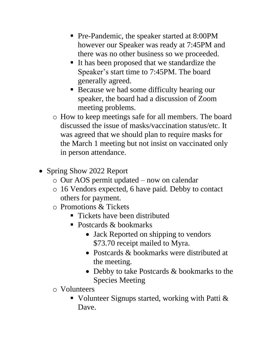- Pre-Pandemic, the speaker started at 8:00PM however our Speaker was ready at 7:45PM and there was no other business so we proceeded.
- It has been proposed that we standardize the Speaker's start time to 7:45PM. The board generally agreed.
- Because we had some difficulty hearing our speaker, the board had a discussion of Zoom meeting problems.
- o How to keep meetings safe for all members. The board discussed the issue of masks/vaccination status/etc. It was agreed that we should plan to require masks for the March 1 meeting but not insist on vaccinated only in person attendance.
- Spring Show 2022 Report
	- o Our AOS permit updated now on calendar
	- o 16 Vendors expected, 6 have paid. Debby to contact others for payment.
	- o Promotions & Tickets
		- Tickets have been distributed
		- Postcards & bookmarks
			- Jack Reported on shipping to vendors \$73.70 receipt mailed to Myra.
			- Postcards & bookmarks were distributed at the meeting.
			- Debby to take Postcards & bookmarks to the Species Meeting
	- o Volunteers
		- Volunteer Signups started, working with Patti  $&$ Dave.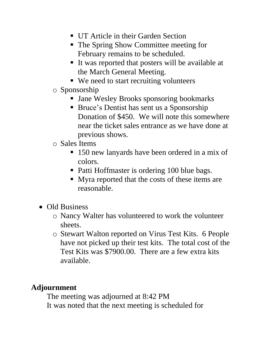- **IIT Article in their Garden Section**
- The Spring Show Committee meeting for February remains to be scheduled.
- It was reported that posters will be available at the March General Meeting.
- We need to start recruiting volunteers
- o Sponsorship
	- Jane Wesley Brooks sponsoring bookmarks
	- Bruce's Dentist has sent us a Sponsorship Donation of \$450. We will note this somewhere near the ticket sales entrance as we have done at previous shows.
- o Sales Items
	- 150 new lanyards have been ordered in a mix of colors.
	- Patti Hoffmaster is ordering 100 blue bags.
	- Myra reported that the costs of these items are reasonable.
- Old Business
	- o Nancy Walter has volunteered to work the volunteer sheets.
	- o Stewart Walton reported on Virus Test Kits. 6 People have not picked up their test kits. The total cost of the Test Kits was \$7900.00. There are a few extra kits available.

### **Adjournment**

The meeting was adjourned at 8:42 PM It was noted that the next meeting is scheduled for